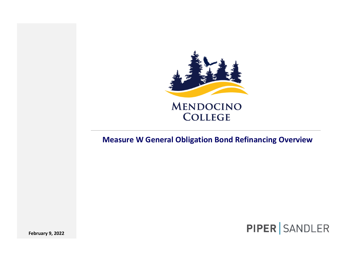

## **MENDOCINO COLLEGE**

#### **Measure W General Obligation Bond Refinancing Overview**



**February 9, 2022**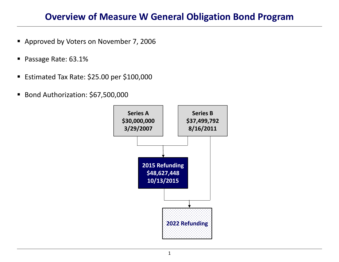### **Overview of Measure W General Obligation Bond Program**

- **Approved by Voters on November 7, 2006**
- $\blacksquare$ Passage Rate: 63.1%
- $\blacksquare$ Estimated Tax Rate: \$25.00 per \$100,000
- $\blacksquare$ Bond Authorization: \$67,500,000

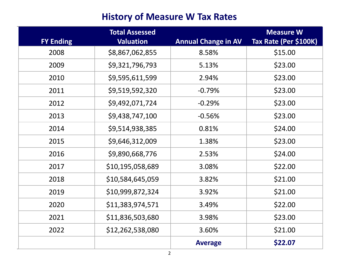## **History of Measure W Tax Rates**

|                  | <b>Total Assessed</b> |                            | <b>Measure W</b>      |
|------------------|-----------------------|----------------------------|-----------------------|
| <b>FY Ending</b> | <b>Valuation</b>      | <b>Annual Change in AV</b> | Tax Rate (Per \$100K) |
| 2008             | \$8,867,062,855       | 8.58%                      | \$15.00               |
| 2009             | \$9,321,796,793       | 5.13%                      | \$23.00               |
| 2010             | \$9,595,611,599       | 2.94%                      | \$23.00               |
| 2011             | \$9,519,592,320       | $-0.79%$                   | \$23.00               |
| 2012             | \$9,492,071,724       | $-0.29%$                   | \$23.00               |
| 2013             | \$9,438,747,100       | $-0.56%$                   | \$23.00               |
| 2014             | \$9,514,938,385       | 0.81%                      | \$24.00               |
| 2015             | \$9,646,312,009       | 1.38%                      | \$23.00               |
| 2016             | \$9,890,668,776       | 2.53%                      | \$24.00               |
| 2017             | \$10,195,058,689      | 3.08%                      | \$22.00               |
| 2018             | \$10,584,645,059      | 3.82%                      | \$21.00               |
| 2019             | \$10,999,872,324      | 3.92%                      | \$21.00               |
| 2020             | \$11,383,974,571      | 3.49%                      | \$22.00               |
| 2021             | \$11,836,503,680      | 3.98%                      | \$23.00               |
| 2022             | \$12,262,538,080      | 3.60%                      | \$21.00               |
|                  |                       | <b>Average</b>             | \$22.07               |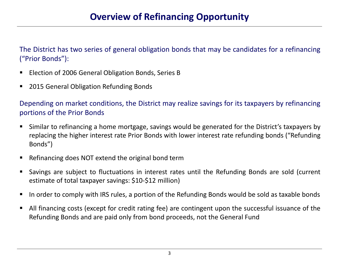The District has two series of general obligation bonds that may be candidates for <sup>a</sup> refinancing ("Prior Bonds"):

- $\blacksquare$ Election of 2006 General Obligation Bonds, Series B
- $\blacksquare$ 2015 General Obligation Refunding Bonds

Depending on market conditions, the District may realize savings for its taxpayers by refinancing portions of the Prior Bonds

- $\blacksquare$  Similar to refinancing <sup>a</sup> home mortgage, savings would be generated for the District's taxpayers by replacing the higher interest rate Prior Bonds with lower interest rate refunding bonds ("Refunding Bonds")
- $\blacksquare$ Refinancing does NOT extend the original bond term
- $\blacksquare$  Savings are subject to fluctuations in interest rates until the Refunding Bonds are sold (current estimate of total taxpayer savings: \$10‐\$12 million)
- $\blacksquare$ In order to comply with IRS rules, <sup>a</sup> portion of the Refunding Bonds would be sold as taxable bonds
- $\blacksquare$  All financing costs (except for credit rating fee) are contingent upon the successful issuance of the Refunding Bonds and are paid only from bond proceeds, not the General Fund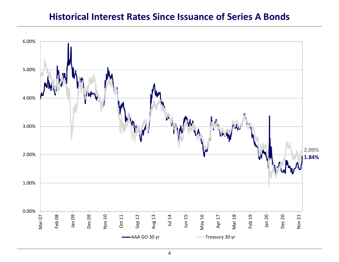#### **Historical Interest Rates Since Issuance of Series A Bonds**

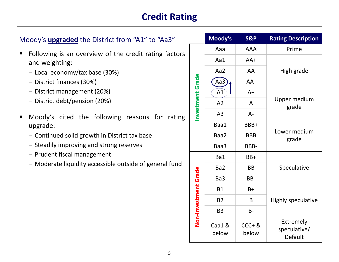# **Credit Rating**

| Moody's <b>upgraded</b> the District from "A1" to "Aa3"                                                                                                                                                                  |                | Moody's         | <b>S&amp;P</b>     | <b>Rating Description</b>            |
|--------------------------------------------------------------------------------------------------------------------------------------------------------------------------------------------------------------------------|----------------|-----------------|--------------------|--------------------------------------|
| Following is an overview of the credit rating factors<br>$\blacksquare$<br>and weighting:<br>- Local economy/tax base (30%)<br>- District finances (30%)<br>- District management (20%)<br>- District debt/pension (20%) |                | Aaa             | <b>AAA</b>         | Prime                                |
|                                                                                                                                                                                                                          |                | Aa1             | $AA+$              | High grade                           |
|                                                                                                                                                                                                                          |                | Aa2             | AA                 |                                      |
|                                                                                                                                                                                                                          |                | Aa3)            | AA-                |                                      |
|                                                                                                                                                                                                                          |                | A1              | $A+$               | Upper medium<br>grade                |
|                                                                                                                                                                                                                          |                | A2              | $\mathsf{A}$       |                                      |
| Moody's cited the following reasons for rating<br>п                                                                                                                                                                      | nvestment      | A <sub>3</sub>  | $A -$              |                                      |
| upgrade:<br>- Continued solid growth in District tax base<br>- Steadily improving and strong reserves                                                                                                                    |                | Baa1            | BBB+               | Lower medium<br>grade                |
|                                                                                                                                                                                                                          |                | Baa2            | <b>BBB</b>         |                                      |
|                                                                                                                                                                                                                          |                | Baa3            | BBB-               |                                      |
| - Prudent fiscal management                                                                                                                                                                                              |                | Ba1             | $BB+$              | Speculative                          |
| - Moderate liquidity accessible outside of general fund                                                                                                                                                                  |                | Ba <sub>2</sub> | <b>BB</b>          |                                      |
|                                                                                                                                                                                                                          | Grade          | Ba3             | BB-                |                                      |
|                                                                                                                                                                                                                          |                | <b>B1</b>       | $B+$               | <b>Highly speculative</b>            |
|                                                                                                                                                                                                                          |                | <b>B2</b>       | B                  |                                      |
|                                                                                                                                                                                                                          |                | <b>B3</b>       | $B -$              |                                      |
|                                                                                                                                                                                                                          | Non-Investment | Caa1 &<br>below | $CCC + 8$<br>below | Extremely<br>speculative/<br>Default |